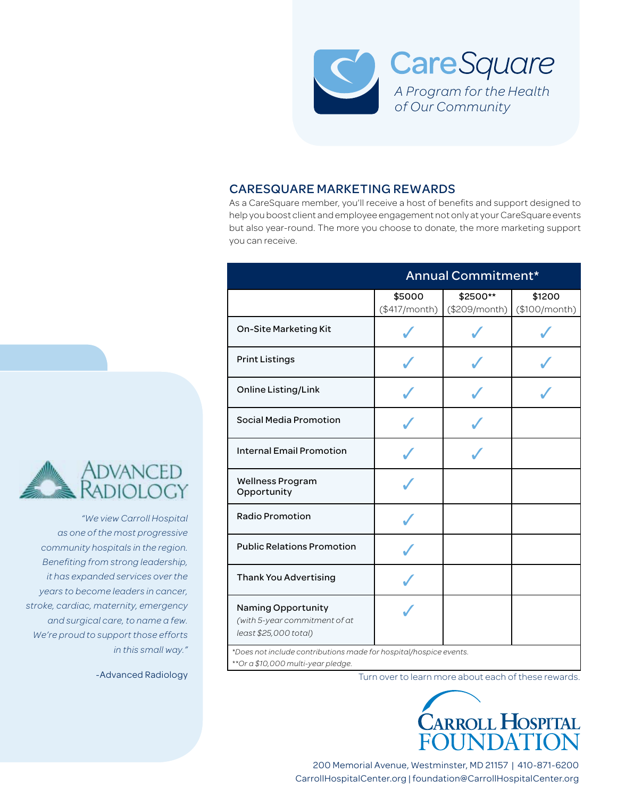

## CARESQUARE MARKETING REWARDS

As a CareSquare member, you'll receive a host of benefits and support designed to help you boost client and employee engagement not only at your CareSquare events but also year-round. The more you choose to donate, the more marketing support you can receive.

|                                                                                                          | Annual Commitment*      |                           |                         |
|----------------------------------------------------------------------------------------------------------|-------------------------|---------------------------|-------------------------|
|                                                                                                          | \$5000<br>(\$417/month) | \$2500**<br>(\$209/month) | \$1200<br>(\$100/month) |
| On-Site Marketing Kit                                                                                    |                         |                           |                         |
| <b>Print Listings</b>                                                                                    |                         |                           |                         |
| Online Listing/Link                                                                                      |                         |                           |                         |
| Social Media Promotion                                                                                   |                         |                           |                         |
| <b>Internal Email Promotion</b>                                                                          |                         |                           |                         |
| <b>Wellness Program</b><br>Opportunity                                                                   |                         |                           |                         |
| <b>Radio Promotion</b>                                                                                   |                         |                           |                         |
| <b>Public Relations Promotion</b>                                                                        |                         |                           |                         |
| <b>Thank You Advertising</b>                                                                             |                         |                           |                         |
| Naming Opportunity<br>(with 5-year commitment of at<br>least \$25,000 total)                             |                         |                           |                         |
| *Does not include contributions made for hospital/hospice events.<br>** Or a \$10,000 multi-year pledge. |                         |                           |                         |

Turn over to learn more about each of these rewards.



200 Memorial Avenue, Westminster, MD 21157 | 410-871-6200 CarrollHospitalCenter.org | foundation@CarrollHospitalCenter.org



*"We view Carroll Hospital as one of the most progressive community hospitals in the region. Benefiting from strong leadership, it has expanded services over the years to become leaders in cancer, stroke, cardiac, maternity, emergency and surgical care, to name a few. We're proud to support those efforts in this small way."*

-Advanced Radiology